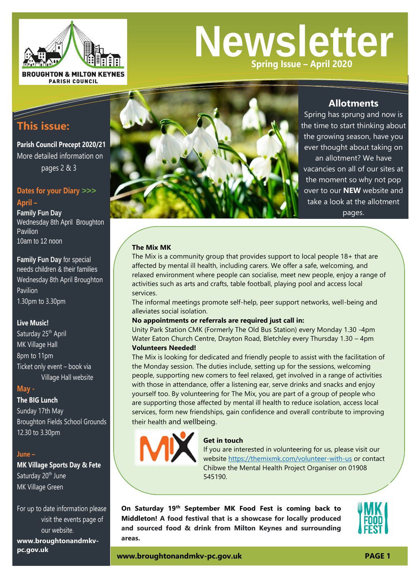

# **Newsletter Spring Issue – April 2020**

# **This issue:**

**Parish Council Precept 2020/21** More detailed information on pages 2 & 3

## **Dates for your Diary** *>>>*

**April – Family Fun Day** Wednesday 8th April Broughton Pavilion 10am to 12 noon

**Family Fun Day** for special needs children & their families Wednesday 8th April Broughton Pavilion 1.30pm to 3.30pm

#### **Live Music!**

Saturday 25<sup>th</sup> April MK Village Hall 8pm to 11pm Ticket only event – book via Village Hall website

#### **May -**

#### **The BIG Lunch**

Sunday 17th May Broughton Fields School Grounds 12.30 to 3.30pm

#### **June –**

### **MK Village Sports Day & Fete** Saturday 20<sup>th</sup> June MK Village Green

For up to date information please visit the events page of our website.

**www.broughtonandmkvpc.gov.uk**



## **Allotments**

Spring has sprung and now is the time to start thinking about the growing season, have you ever thought about taking on an allotment? We have vacancies on all of our sites at the moment so why not pop over to our **NEW** website and take a look at the allotment pages.

#### **The Mix MK**

The Mix is a community group that provides support to local people 18+ that are affected by mental ill health, including carers. We offer a safe, welcoming, and relaxed environment where people can socialise, meet new people, enjoy a range of activities such as arts and crafts, table football, playing pool and access local services.

The informal meetings promote self-help, peer support networks, well-being and alleviates social isolation.

#### **No appointments or referrals are required just call in:**

Unity Park Station CMK (Formerly The Old Bus Station) every Monday 1.30 -4pm Water Eaton Church Centre, Drayton Road, Bletchley every Thursday 1.30 – 4pm **Volunteers Needed!**

The Mix is looking for dedicated and friendly people to assist with the facilitation of the Monday session. The duties include, setting up for the sessions, welcoming people, supporting new comers to feel relaxed, get involved in a range of activities with those in attendance, offer a listening ear, serve drinks and snacks and enjoy yourself too. By volunteering for The Mix, you are part of a group of people who are supporting those affected by mental ill health to reduce isolation, access local services, form new friendships, gain confidence and overall contribute to improving their health and wellbeing.



#### **Get in touch**

If you are interested in volunteering for us, please visit our website<https://themixmk.com/volunteer-with-us> or contact Chibwe the Mental Health Project Organiser on 01908 545190.

**On Saturday 19th September MK Food Fest is coming back to Middleton! A food festival that is a showcase for locally produced and sourced food & drink from Milton Keynes and surrounding areas.**

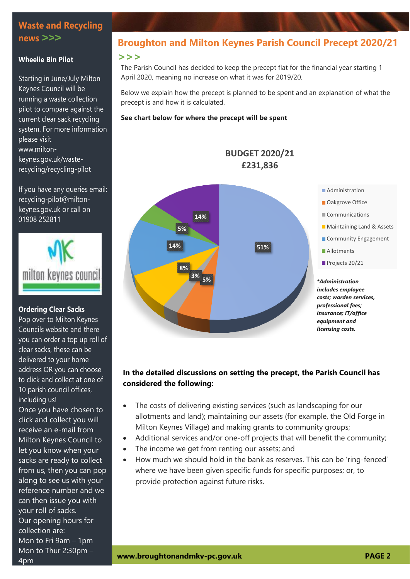## **Waste and Recycling news** *>>>*

#### **Wheelie Bin Pilot**

Starting in June/July Milton Keynes Council will be running a waste collection pilot to compare against the current clear sack recycling system. For more information please visit [www.milton](http://www.milton-keynes.gov.uk/waste-recycling/recycling-pilot)[keynes.gov.uk/waste](http://www.milton-keynes.gov.uk/waste-recycling/recycling-pilot)[recycling/recycling-pilot](http://www.milton-keynes.gov.uk/waste-recycling/recycling-pilot)

If you have any queries email: recycling-pilot@miltonkeynes.gov.uk or call on 01908 252811



#### **Ordering Clear Sacks**

Pop over to Milton Keynes Councils website and there you can order a top up roll of clear sacks, these can be delivered to your home address OR you can choose to click and collect at one of 10 parish council offices, including us!

Once you have chosen to click and collect you will receive an e-mail from Milton Keynes Council to let you know when your sacks are ready to collect from us, then you can pop along to see us with your reference number and we can then issue you with your roll of sacks. Our opening hours for collection are: Mon to Fri 9am – 1pm Mon to Thur 2:30pm – 4pm

# **Broughton and Milton Keynes Parish Council Precept 2020/21**

#### *>>>*

The Parish Council has decided to keep the precept flat for the financial year starting 1 April 2020, meaning no increase on what it was for 2019/20.

Below we explain how the precept is planned to be spent and an explanation of what the precept is and how it is calculated.

> **BUDGET 2020/21 £231,836**

#### **See chart below for where the precept will be spent**



## **In the detailed discussions on setting the precept, the Parish Council has considered the following:**

- The costs of delivering existing services (such as landscaping for our allotments and land); maintaining our assets (for example, the Old Forge in Milton Keynes Village) and making grants to community groups;
- Additional services and/or one-off projects that will benefit the community;
- The income we get from renting our assets; and
- How much we should hold in the bank as reserves. This can be 'ring-fenced' where we have been given specific funds for specific purposes; or, to provide protection against future risks.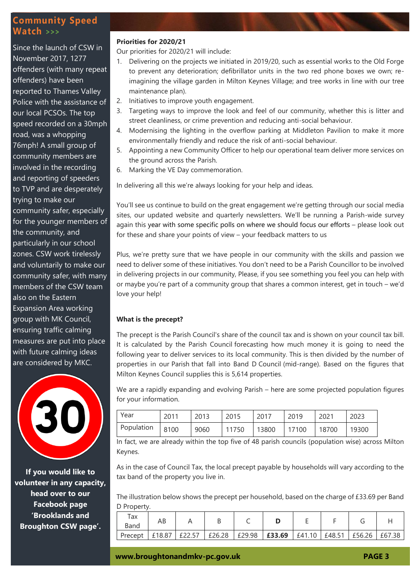## **Community Speed Watch** *>>>*

Since the launch of CSW in November 2017, 1277 offenders (with many repeat offenders) have been reported to Thames Valley Police with the assistance of our local PCSOs. The top speed recorded on a 30mph road, was a whopping 76mph! A small group of community members are involved in the recording and reporting of speeders to TVP and are desperately trying to make our community safer, especially for the younger members of the community, and particularly in our school zones. CSW work tirelessly and voluntarily to make our community safer, with many members of the CSW team also on the Eastern Expansion Area working group with MK Council, ensuring traffic calming measures are put into place with future calming ideas are considered by MKC.



**If you would like to volunteer in any capacity, head over to our Facebook page 'Brooklands and Broughton CSW page'.**

#### **Priorities for 2020/21**

Our priorities for 2020/21 will include:

- 1. Delivering on the projects we initiated in 2019/20, such as essential works to the Old Forge to prevent any deterioration; defibrillator units in the two red phone boxes we own; reimagining the village garden in Milton Keynes Village; and tree works in line with our tree maintenance plan).
- 2. Initiatives to improve youth engagement.
- 3. Targeting ways to improve the look and feel of our community, whether this is litter and street cleanliness, or crime prevention and reducing anti-social behaviour.
- 4. Modernising the lighting in the overflow parking at Middleton Pavilion to make it more environmentally friendly and reduce the risk of anti-social behaviour.
- 5. Appointing a new Community Officer to help our operational team deliver more services on the ground across the Parish.
- 6. Marking the VE Day commemoration.

In delivering all this we're always looking for your help and ideas.

You'll see us continue to build on the great engagement we're getting through our social media sites, our updated website and quarterly newsletters. We'll be running a Parish-wide survey again this year with some specific polls on where we should focus our efforts – please look out for these and share your points of view – your feedback matters to us

Plus, we're pretty sure that we have people in our community with the skills and passion we need to deliver some of these initiatives. You don't need to be a Parish Councillor to be involved in delivering projects in our community, Please, if you see something you feel you can help with or maybe you're part of a community group that shares a common interest, get in touch – we'd love your help!

#### **What is the precept?**

The precept is the Parish Council's share of the council tax and is shown on your council tax bill. It is calculated by the Parish Council forecasting how much money it is going to need the following year to deliver services to its local community. This is then divided by the number of properties in our Parish that fall into Band D Council (mid-range). Based on the figures that Milton Keynes Council supplies this is 5,614 properties.

We are a rapidly expanding and evolving Parish – here are some projected population figures for your information.

| Year            | 2011 | 2013 | 2015  | 2017  | 2019  | 2021  | 2023  |
|-----------------|------|------|-------|-------|-------|-------|-------|
| Population 8100 |      | 9060 | 11750 | 13800 | 17100 | 18700 | 19300 |

In fact, we are already within the top five of 48 parish councils (population wise) across Milton Keynes.

As in the case of Council Tax, the local precept payable by households will vary according to the tax band of the property you live in.

The illustration below shows the precept per household, based on the charge of £33.69 per Band D Property.

| Tax<br>Band | AΒ   | ◡      |        |        | -          |        |               |        |
|-------------|------|--------|--------|--------|------------|--------|---------------|--------|
| Precept     | 8.87 | £26.28 | £29.98 | £33.69 | £41<br>.10 | £48.51 | £56.26<br>f56 | £67.38 |

**[www.broughtonandmkv-pc.gov.uk](http://www.broughtonandmkv-pc.gov.uk/) PAGE 3**